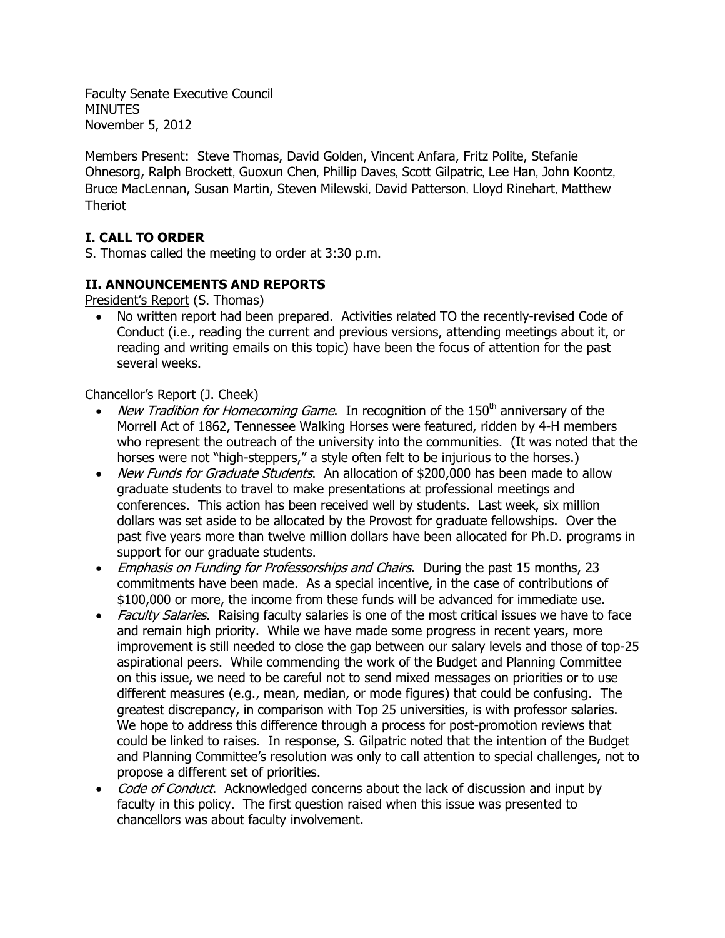Faculty Senate Executive Council MINUTES November 5, 2012

Members Present: Steve Thomas, David Golden, Vincent Anfara, Fritz Polite, Stefanie Ohnesorg, Ralph Brockett, Guoxun Chen, Phillip Daves, Scott Gilpatric, Lee Han, John Koontz, Bruce MacLennan, Susan Martin, Steven Milewski, David Patterson, Lloyd Rinehart, Matthew Theriot

## **I. CALL TO ORDER**

S. Thomas called the meeting to order at 3:30 p.m.

### **II. ANNOUNCEMENTS AND REPORTS**

President's Report (S. Thomas)

• No written report had been prepared. Activities related TO the recently-revised Code of Conduct (i.e., reading the current and previous versions, attending meetings about it, or reading and writing emails on this topic) have been the focus of attention for the past several weeks.

### Chancellor's Report (J. Cheek)

- New Tradition for Homecoming Game. In recognition of the  $150<sup>th</sup>$  anniversary of the Morrell Act of 1862, Tennessee Walking Horses were featured, ridden by 4-H members who represent the outreach of the university into the communities. (It was noted that the horses were not "high-steppers," a style often felt to be injurious to the horses.)
- New Funds for Graduate Students. An allocation of \$200,000 has been made to allow graduate students to travel to make presentations at professional meetings and conferences. This action has been received well by students. Last week, six million dollars was set aside to be allocated by the Provost for graduate fellowships. Over the past five years more than twelve million dollars have been allocated for Ph.D. programs in support for our graduate students.
- *Emphasis on Funding for Professorships and Chairs*. During the past 15 months, 23 commitments have been made. As a special incentive, in the case of contributions of \$100,000 or more, the income from these funds will be advanced for immediate use.
- Faculty Salaries. Raising faculty salaries is one of the most critical issues we have to face and remain high priority. While we have made some progress in recent years, more improvement is still needed to close the gap between our salary levels and those of top-25 aspirational peers. While commending the work of the Budget and Planning Committee on this issue, we need to be careful not to send mixed messages on priorities or to use different measures (e.g., mean, median, or mode figures) that could be confusing. The greatest discrepancy, in comparison with Top 25 universities, is with professor salaries. We hope to address this difference through a process for post-promotion reviews that could be linked to raises. In response, S. Gilpatric noted that the intention of the Budget and Planning Committee's resolution was only to call attention to special challenges, not to propose a different set of priorities.
- Code of Conduct. Acknowledged concerns about the lack of discussion and input by faculty in this policy. The first question raised when this issue was presented to chancellors was about faculty involvement.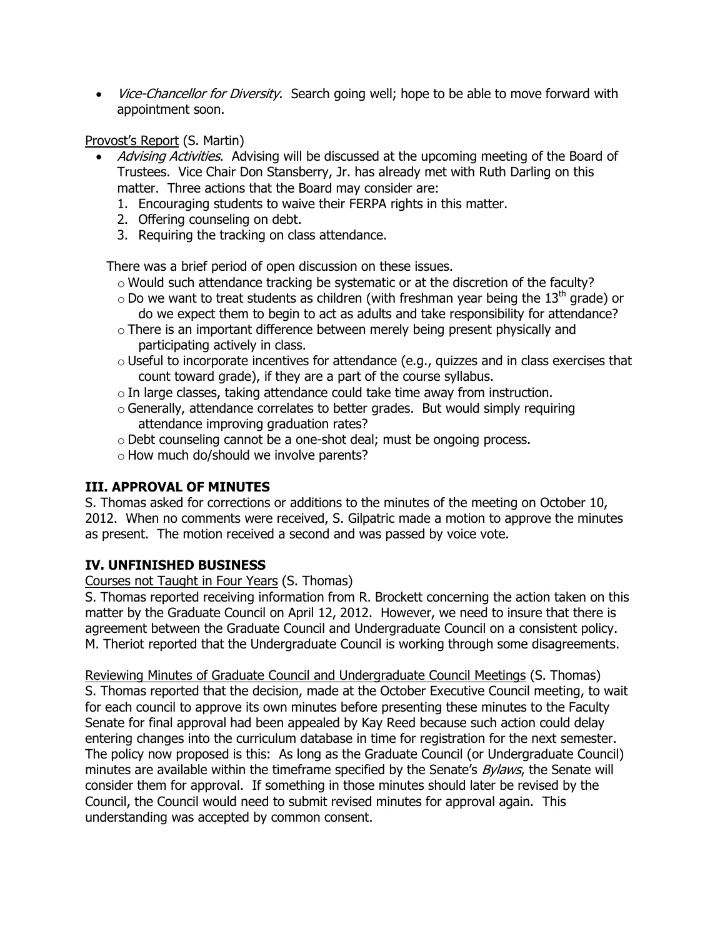• *Vice-Chancellor for Diversity*. Search going well; hope to be able to move forward with appointment soon.

Provost's Report (S. Martin)

- Advising Activities. Advising will be discussed at the upcoming meeting of the Board of Trustees. Vice Chair Don Stansberry, Jr. has already met with Ruth Darling on this matter. Three actions that the Board may consider are:
	- 1. Encouraging students to waive their FERPA rights in this matter.
	- 2. Offering counseling on debt.
	- 3. Requiring the tracking on class attendance.

There was a brief period of open discussion on these issues.

- o Would such attendance tracking be systematic or at the discretion of the faculty?
- $\circ$  Do we want to treat students as children (with freshman year being the 13<sup>th</sup> grade) or do we expect them to begin to act as adults and take responsibility for attendance?
- o There is an important difference between merely being present physically and participating actively in class.
- o Useful to incorporate incentives for attendance (e.g., quizzes and in class exercises that count toward grade), if they are a part of the course syllabus.
- o In large classes, taking attendance could take time away from instruction.
- o Generally, attendance correlates to better grades. But would simply requiring attendance improving graduation rates?
- o Debt counseling cannot be a one-shot deal; must be ongoing process.
- o How much do/should we involve parents?

# **III. APPROVAL OF MINUTES**

S. Thomas asked for corrections or additions to the minutes of the meeting on October 10, 2012. When no comments were received, S. Gilpatric made a motion to approve the minutes as present. The motion received a second and was passed by voice vote.

### **IV. UNFINISHED BUSINESS**

Courses not Taught in Four Years (S. Thomas)

S. Thomas reported receiving information from R. Brockett concerning the action taken on this matter by the Graduate Council on April 12, 2012. However, we need to insure that there is agreement between the Graduate Council and Undergraduate Council on a consistent policy. M. Theriot reported that the Undergraduate Council is working through some disagreements.

Reviewing Minutes of Graduate Council and Undergraduate Council Meetings (S. Thomas) S. Thomas reported that the decision, made at the October Executive Council meeting, to wait for each council to approve its own minutes before presenting these minutes to the Faculty Senate for final approval had been appealed by Kay Reed because such action could delay entering changes into the curriculum database in time for registration for the next semester. The policy now proposed is this: As long as the Graduate Council (or Undergraduate Council) minutes are available within the timeframe specified by the Senate's *Bylaws*, the Senate will consider them for approval. If something in those minutes should later be revised by the Council, the Council would need to submit revised minutes for approval again. This understanding was accepted by common consent.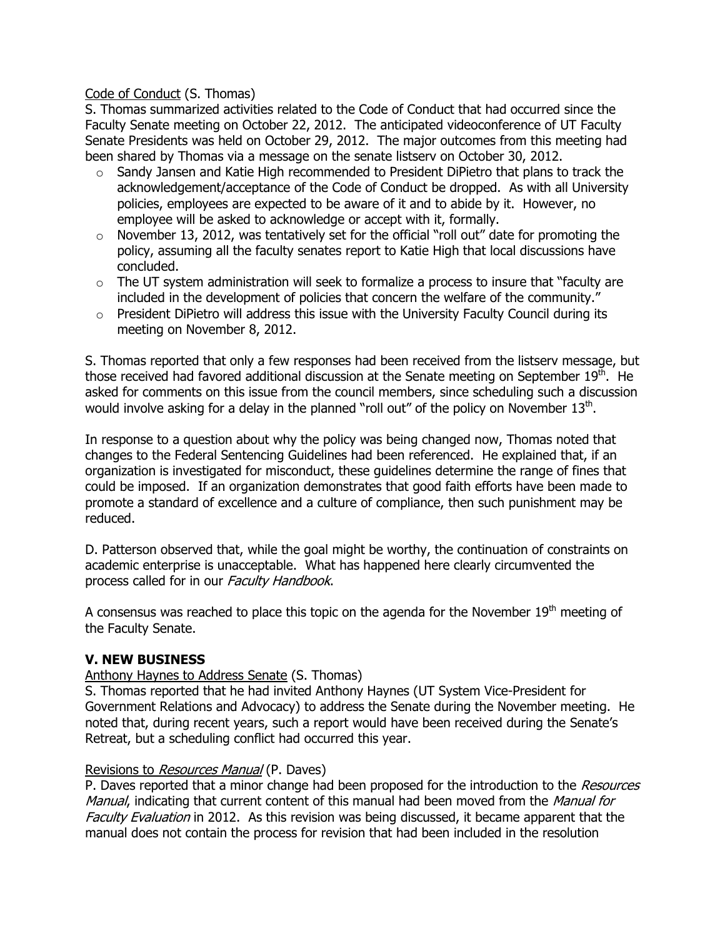### Code of Conduct (S. Thomas)

S. Thomas summarized activities related to the Code of Conduct that had occurred since the Faculty Senate meeting on October 22, 2012. The anticipated videoconference of UT Faculty Senate Presidents was held on October 29, 2012. The major outcomes from this meeting had been shared by Thomas via a message on the senate listserv on October 30, 2012.

- o Sandy Jansen and Katie High recommended to President DiPietro that plans to track the acknowledgement/acceptance of the Code of Conduct be dropped. As with all University policies, employees are expected to be aware of it and to abide by it. However, no employee will be asked to acknowledge or accept with it, formally.
- o November 13, 2012, was tentatively set for the official "roll out" date for promoting the policy, assuming all the faculty senates report to Katie High that local discussions have concluded.
- $\circ$  The UT system administration will seek to formalize a process to insure that "faculty are included in the development of policies that concern the welfare of the community."
- o President DiPietro will address this issue with the University Faculty Council during its meeting on November 8, 2012.

S. Thomas reported that only a few responses had been received from the listserv message, but those received had favored additional discussion at the Senate meeting on September  $19<sup>th</sup>$ . He asked for comments on this issue from the council members, since scheduling such a discussion would involve asking for a delay in the planned "roll out" of the policy on November  $13<sup>th</sup>$ .

In response to a question about why the policy was being changed now, Thomas noted that changes to the Federal Sentencing Guidelines had been referenced. He explained that, if an organization is investigated for misconduct, these guidelines determine the range of fines that could be imposed. If an organization demonstrates that good faith efforts have been made to promote a standard of excellence and a culture of compliance, then such punishment may be reduced.

D. Patterson observed that, while the goal might be worthy, the continuation of constraints on academic enterprise is unacceptable. What has happened here clearly circumvented the process called for in our Faculty Handbook.

A consensus was reached to place this topic on the agenda for the November  $19<sup>th</sup>$  meeting of the Faculty Senate.

### **V. NEW BUSINESS**

### Anthony Haynes to Address Senate (S. Thomas)

S. Thomas reported that he had invited Anthony Haynes (UT System Vice-President for Government Relations and Advocacy) to address the Senate during the November meeting. He noted that, during recent years, such a report would have been received during the Senate's Retreat, but a scheduling conflict had occurred this year.

### Revisions to Resources Manual (P. Daves)

P. Daves reported that a minor change had been proposed for the introduction to the Resources Manual, indicating that current content of this manual had been moved from the Manual for Faculty Evaluation in 2012. As this revision was being discussed, it became apparent that the manual does not contain the process for revision that had been included in the resolution